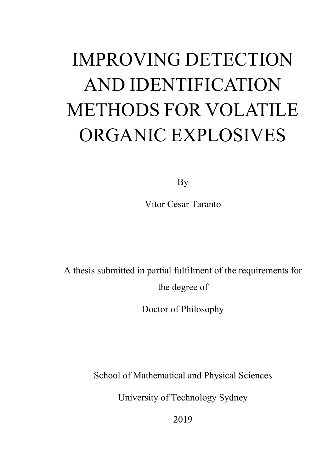# IMPROVING DETECTION AND IDENTIFICATION METHODS FOR VOLATILE ORGANIC EXPLOSIVES

By

Vitor Cesar Taranto

A thesis submitted in partial fulfilment of the requirements for the degree of

Doctor of Philosophy

School of Mathematical and Physical Sciences

University of Technology Sydney

2019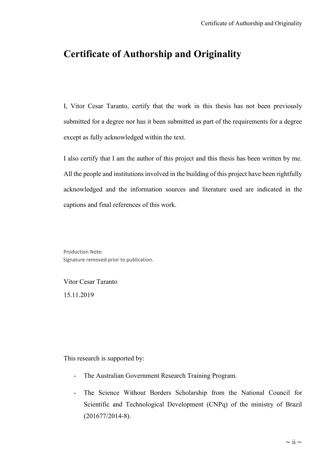## <span id="page-1-0"></span>**Certificate of Authorship and Originality**

I, Vitor Cesar Taranto, certify that the work in this thesis has not been previously submitted for a degree nor has it been submitted as part of the requirements for a degree except as fully acknowledged within the text.

I also certify that I am the author of this project and this thesis has been written by me. All the people and institutions involved in the building of this project have been rightfully acknowledged and the information sources and literature used are indicated in the captions and final references of this work.

Production Note: Signature removed prior to publication.

Vitor Cesar Taranto 15.11.2019

This research is supported by:

- The Australian Government Research Training Program.
- The Science Without Borders Scholarship from the National Council for Scientific and Technological Development (CNPq) of the ministry of Brazil (201677/2014-8).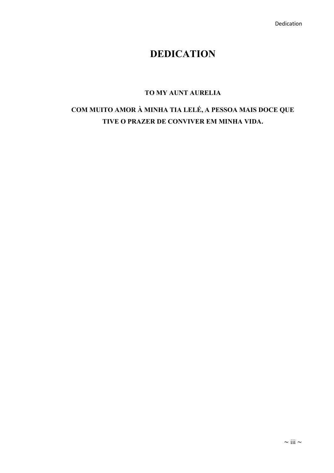## **DEDICATION**

#### TO MY AUNT AURELIA

### <span id="page-2-0"></span>COM MUITO AMOR À MINHA TIA LELÉ, A PESSOA MAIS DOCE QUE TIVE O PRAZER DE CONVIVER EM MINHA VIDA.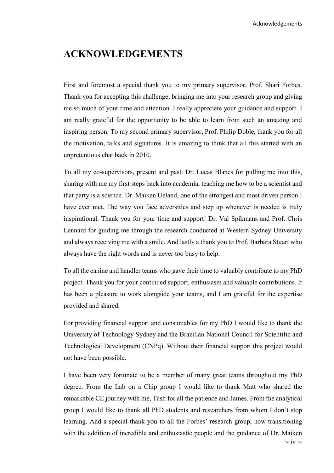#### <span id="page-3-0"></span>**ACKNOWLEDGEMENTS**

First and foremost a special thank you to my primary supervisor, Prof. Shari Forbes. Thank you for accepting this challenge, bringing me into your research group and giving me so much of your time and attention. I really appreciate your guidance and support. I am really grateful for the opportunity to be able to learn from such an amazing and inspiring person. To my second primary supervisor, Prof. Philip Doble, thank you for all the motivation, talks and signatures. It is amazing to think that all this started with an unpretentious chat back in 2010.

To all my co-supervisors, present and past. Dr. Lucas Blanes for pulling me into this, sharing with me my first steps back into academia, teaching me how to be a scientist and that party is a science. Dr. Maiken Ueland, one of the strongest and most driven person I have ever met. The way you face adversities and step up whenever is needed is truly inspirational. Thank you for your time and support! Dr. Val Spikmans and Prof. Chris Lennard for guiding me through the research conducted at Western Sydney University and always receiving me with a smile. And lastly a thank you to Prof. Barbara Stuart who always have the right words and is never too busy to help.

To all the canine and handler teams who gave their time to valuably contribute to my PhD project. Thank you for your continued support, enthusiasm and valuable contributions. It has been a pleasure to work alongside your teams, and I am grateful for the expertise provided and shared.

For providing financial support and consumables for my PhD I would like to thank the University of Technology Sydney and the Brazilian National Council for Scientific and Technological Development (CNPq). Without their financial support this project would not have been possible.

I have been very fortunate to be a member of many great teams throughout my PhD degree. From the Lab on a Chip group I would like to thank Matt who shared the remarkable CE journey with me, Tash for all the patience and James. From the analytical group I would like to thank all PhD students and researchers from whom I don't stop learning. And a special thank you to all the Forbes' research group, now transitioning with the addition of incredible and enthusiastic people and the guidance of Dr. Maiken

 $\sim$  iv  $\sim$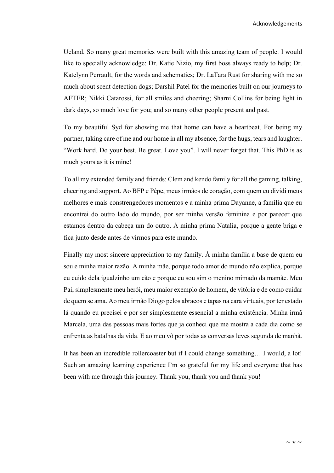Ueland. So many great memories were built with this amazing team of people. I would like to specially acknowledge: Dr. Katie Nizio, my first boss always ready to help; Dr. Katelynn Perrault, for the words and schematics; Dr. LaTara Rust for sharing with me so much about scent detection dogs; Darshil Patel for the memories built on our journeys to AFTER; Nikki Catarossi, for all smiles and cheering; Sharni Collins for being light in dark days, so much love for you; and so many other people present and past.

To my beautiful Syd for showing me that home can have a heartbeat. For being my partner, taking care of me and our home in all my absence, for the hugs, tears and laughter. "Work hard. Do your best. Be great. Love you". I will never forget that. This PhD is as much yours as it is mine!

To all my extended family and friends: Clem and kendo family for all the gaming, talking, cheering and support. Ao BFP e Pépe, meus irmãos de coração, com quem eu dividi meus melhores e mais constrengedores momentos e a minha prima Dayanne, a família que eu encontrei do outro lado do mundo, por ser minha versão feminina e por parecer que estamos dentro da cabeça um do outro. À minha prima Natalia, porque a gente briga e fica junto desde antes de virmos para este mundo.

Finally my most sincere appreciation to my family. À minha família a base de quem eu sou e minha maior razão. A minha mãe, porque todo amor do mundo não explica, porque eu cuido dela igualzinho um cão e porque eu sou sim o menino mimado da mamãe. Meu Pai, simplesmente meu herói, meu maior exemplo de homem, de vitória e de como cuidar de quem se ama. Ao meu irmão Diogo pelos abracos e tapas na cara virtuais, por ter estado lá quando eu precisei e por ser simplesmente essencial a minha existência. Minha irmã Marcela, uma das pessoas mais fortes que ja conheci que me mostra a cada dia como se enfrenta as batalhas da vida. E ao meu vô por todas as conversas leves segunda de manhã.

It has been an incredible rollercoaster but if I could change something… I would, a lot! Such an amazing learning experience I'm so grateful for my life and everyone that has been with me through this journey. Thank you, thank you and thank you!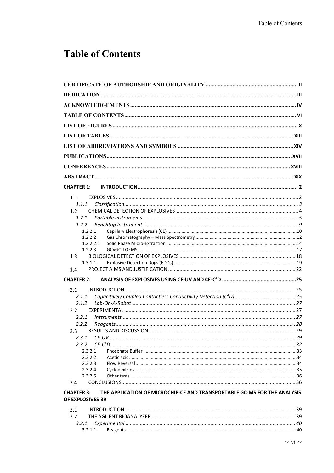## **Table of Contents**

| <b>CHAPTER 1:</b>                     |                                                                          |  |
|---------------------------------------|--------------------------------------------------------------------------|--|
| 1.1                                   |                                                                          |  |
| 1.1.1                                 |                                                                          |  |
| 1.2                                   |                                                                          |  |
| 1.2.1                                 |                                                                          |  |
| 1.2.2                                 |                                                                          |  |
| 1.2.2.1                               |                                                                          |  |
| 1.2.2.2                               |                                                                          |  |
| 1.2.2.2.1                             |                                                                          |  |
| 1.2.2.3                               |                                                                          |  |
| 1.3                                   |                                                                          |  |
| 1.3.1.1                               |                                                                          |  |
| 1.4                                   |                                                                          |  |
| <b>CHAPTER 2:</b>                     |                                                                          |  |
| 2.1                                   |                                                                          |  |
|                                       |                                                                          |  |
| 2.1.1                                 |                                                                          |  |
| 2.1.2                                 |                                                                          |  |
| $2.2\phantom{0}$                      |                                                                          |  |
| 2.2.1                                 |                                                                          |  |
| 2.2.2                                 |                                                                          |  |
| $2.3 -$                               | RESULTS AND DISCUSSION 29                                                |  |
| 2.3.1                                 |                                                                          |  |
| 2.3.2                                 |                                                                          |  |
| 2.3.2.1                               |                                                                          |  |
| 2.3.2.2                               |                                                                          |  |
| 2.3.2.3                               |                                                                          |  |
| 2.3.2.4                               |                                                                          |  |
| 2.3.2.5                               |                                                                          |  |
| $2.4^{\circ}$                         |                                                                          |  |
| <b>CHAPTER 3:</b><br>OF EXPLOSIVES 39 | THE APPLICATION OF MICROCHIP-CE AND TRANSPORTABLE GC-MS FOR THE ANALYSIS |  |
| 3.1                                   |                                                                          |  |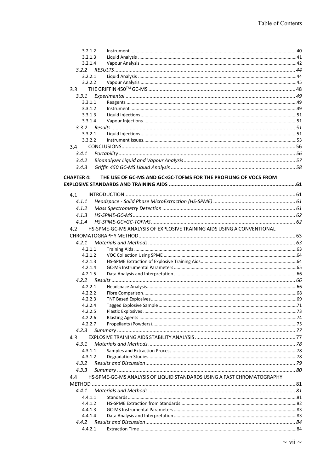| 3.2.1.2           |                                                                            |  |
|-------------------|----------------------------------------------------------------------------|--|
| 3.2.1.3           |                                                                            |  |
| 3.2.1.4           |                                                                            |  |
| 3.2.2             |                                                                            |  |
| 3.2.2.1           |                                                                            |  |
| 3.2.2.2           |                                                                            |  |
| 3.3               |                                                                            |  |
| 3.3.1             |                                                                            |  |
| 3.3.1.1           |                                                                            |  |
| 3.3.1.2           |                                                                            |  |
| 3.3.1.3           |                                                                            |  |
| 3.3.1.4           |                                                                            |  |
|                   |                                                                            |  |
| 3.3.2.1           |                                                                            |  |
| 3.3.2.2           |                                                                            |  |
| 3.4               |                                                                            |  |
| 3.4.1             |                                                                            |  |
| 3.4.2             |                                                                            |  |
|                   |                                                                            |  |
| 3.4.3             |                                                                            |  |
| <b>CHAPTER 4:</b> | THE USE OF GC-MS AND GC×GC-TOFMS FOR THE PROFILING OF VOCS FROM            |  |
|                   | EXPLOSIVE STANDARDS AND TRAINING AIDS …………………………………………………………………………………………61 |  |
|                   |                                                                            |  |
| 4.1               |                                                                            |  |
| 4.1.1             |                                                                            |  |
| 4.1.2             |                                                                            |  |
| 4.1.3             |                                                                            |  |
| 4.1.4             |                                                                            |  |
| 4.2               | HS-SPME-GC-MS ANALYSIS OF EXPLOSIVE TRAINING AIDS USING A CONVENTIONAL     |  |
|                   |                                                                            |  |
|                   |                                                                            |  |
| 4.2.1             |                                                                            |  |
| 4.2.1.1           |                                                                            |  |
| 4.2.1.2           |                                                                            |  |
| 4.2.1.3           |                                                                            |  |
| 4.2.1.4           |                                                                            |  |
| 4.2.1.5           |                                                                            |  |
|                   |                                                                            |  |
| 4.2.2.1           |                                                                            |  |
| 4.2.2.2           |                                                                            |  |
| 4.2.2.3           |                                                                            |  |
| 4.2.2.4           |                                                                            |  |
| 4.2.2.5           |                                                                            |  |
| 4.2.2.6           |                                                                            |  |
| 4.2.2.7           |                                                                            |  |
| 4.2.3             |                                                                            |  |
| 4.3               |                                                                            |  |
| 4.3.1             |                                                                            |  |
| 4.3.1.1           |                                                                            |  |
| 4.3.1.2           |                                                                            |  |
| 4.3.2             |                                                                            |  |
| 4.3.3             |                                                                            |  |
| 4.4               | HS-SPME-GC-MS ANALYSIS OF LIQUID STANDARDS USING A FAST CHROMATOGRAPHY     |  |
|                   |                                                                            |  |
| 4.4.1             |                                                                            |  |
| 4.4.1.1           |                                                                            |  |
| 4.4.1.2           |                                                                            |  |
| 4.4.1.3           |                                                                            |  |
| 4.4.1.4           |                                                                            |  |
| 4.4.2             |                                                                            |  |
| 4.4.2.1           |                                                                            |  |
|                   |                                                                            |  |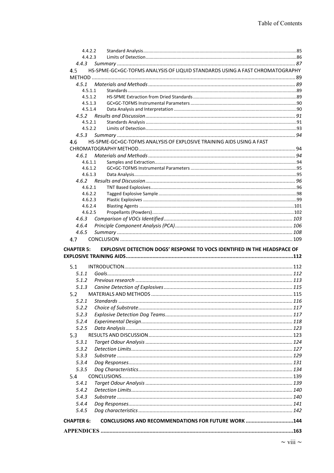|                   | 4.4.2.2                                                                      |     |
|-------------------|------------------------------------------------------------------------------|-----|
| 4.4.2.3           |                                                                              |     |
| 4.4.3             |                                                                              |     |
| 4.5               | HS-SPME-GC×GC-TOFMS ANALYSIS OF LIQUID STANDARDS USING A FAST CHROMATOGRAPHY |     |
|                   |                                                                              |     |
| 4.5.1             |                                                                              |     |
| 4.5.1.1           |                                                                              |     |
| 4.5.1.2           |                                                                              |     |
| 4.5.1.3           |                                                                              |     |
| 4.5.1.4           |                                                                              |     |
| 4.5.2             |                                                                              |     |
| 4.5.2.1           |                                                                              |     |
| 4.5.2.2           |                                                                              |     |
| 4.5.3             |                                                                              |     |
| 4.6               | HS-SPME-GC×GC-TOFMS ANALYSIS OF EXPLOSIVE TRAINING AIDS USING A FAST         |     |
|                   |                                                                              |     |
| 4.6.1             |                                                                              |     |
| 4.6.1.1           |                                                                              |     |
| 4.6.1.2           |                                                                              |     |
| 4.6.1.3           |                                                                              |     |
| 4.6.2             |                                                                              |     |
| 4.6.2.1           |                                                                              |     |
| 4.6.2.2           |                                                                              |     |
| 4.6.2.3           |                                                                              |     |
| 4.6.2.4           |                                                                              |     |
| 4.6.2.5           |                                                                              |     |
| 4.6.3             |                                                                              |     |
| 4.6.4             |                                                                              |     |
| 4.6.5             |                                                                              |     |
| 4.7               |                                                                              |     |
|                   |                                                                              |     |
|                   |                                                                              |     |
| <b>CHAPTER 5:</b> | EXPLOSIVE DETECTION DOGS' RESPONSE TO VOCS IDENTIFIED IN THE HEADSPACE OF    |     |
|                   |                                                                              |     |
| 5.1               |                                                                              |     |
| 5.1.1             |                                                                              |     |
| 5.1.2             |                                                                              |     |
| 5.1.3             |                                                                              |     |
| 5.2               |                                                                              |     |
|                   | 5.2.1 Standards                                                              | 116 |
| 5.2.2             |                                                                              |     |
| 5.2.3             |                                                                              |     |
| 5.2.4             |                                                                              |     |
| 5.2.5             |                                                                              |     |
| 5.3               |                                                                              |     |
| 5.3.1             |                                                                              |     |
|                   |                                                                              |     |
| 5.3.2<br>5.3.3    |                                                                              |     |
|                   |                                                                              |     |
| 5.3.4             |                                                                              |     |
| 5.3.5             |                                                                              |     |
| 5.4               |                                                                              |     |
| 5.4.1             |                                                                              |     |
| 5.4.2             |                                                                              |     |
| 5.4.3             |                                                                              |     |
| 5.4.4             |                                                                              |     |
| 5.4.5             |                                                                              |     |
| <b>CHAPTER 6:</b> | <b>CONCLUSIONS AND RECOMMENDATIONS FOR FUTURE WORK 144</b>                   |     |
|                   |                                                                              |     |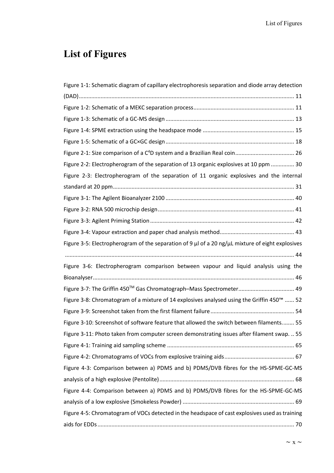## <span id="page-9-0"></span>**List of Figures**

| Figure 1-1: Schematic diagram of capillary electrophoresis separation and diode array detection             |
|-------------------------------------------------------------------------------------------------------------|
|                                                                                                             |
|                                                                                                             |
|                                                                                                             |
|                                                                                                             |
|                                                                                                             |
|                                                                                                             |
| Figure 2-2: Electropherogram of the separation of 13 organic explosives at 10 ppm  30                       |
| Figure 2-3: Electropherogram of the separation of 11 organic explosives and the internal                    |
|                                                                                                             |
|                                                                                                             |
|                                                                                                             |
|                                                                                                             |
|                                                                                                             |
| Figure 3-5: Electropherogram of the separation of 9 $\mu$ l of a 20 ng/ $\mu$ L mixture of eight explosives |
|                                                                                                             |
| Figure 3-6: Electropherogram comparison between vapour and liquid analysis using the                        |
|                                                                                                             |
|                                                                                                             |
| Figure 3-8: Chromatogram of a mixture of 14 explosives analysed using the Griffin 450™  52                  |
|                                                                                                             |
| Figure 3-10: Screenshot of software feature that allowed the switch between filaments 55                    |
| Figure 3-11: Photo taken from computer screen demonstrating issues after filament swap.  55                 |
|                                                                                                             |
|                                                                                                             |
| Figure 4-3: Comparison between a) PDMS and b) PDMS/DVB fibres for the HS-SPME-GC-MS                         |
|                                                                                                             |
| Figure 4-4: Comparison between a) PDMS and b) PDMS/DVB fibres for the HS-SPME-GC-MS                         |
|                                                                                                             |
| Figure 4-5: Chromatogram of VOCs detected in the headspace of cast explosives used as training              |
|                                                                                                             |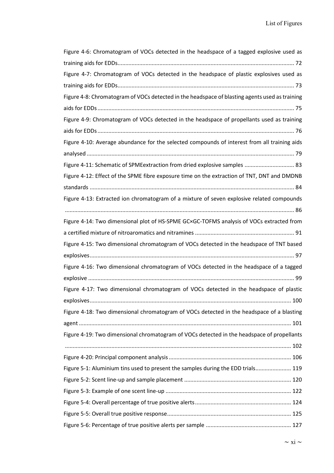| Figure 4-6: Chromatogram of VOCs detected in the headspace of a tagged explosive used as       |
|------------------------------------------------------------------------------------------------|
|                                                                                                |
| Figure 4-7: Chromatogram of VOCs detected in the headspace of plastic explosives used as       |
|                                                                                                |
| Figure 4-8: Chromatogram of VOCs detected in the headspace of blasting agents used as training |
|                                                                                                |
| Figure 4-9: Chromatogram of VOCs detected in the headspace of propellants used as training     |
|                                                                                                |
| Figure 4-10: Average abundance for the selected compounds of interest from all training aids   |
|                                                                                                |
| Figure 4-11: Schematic of SPMEextraction from dried explosive samples  83                      |
| Figure 4-12: Effect of the SPME fibre exposure time on the extraction of TNT, DNT and DMDNB    |
|                                                                                                |
| Figure 4-13: Extracted ion chromatogram of a mixture of seven explosive related compounds      |
|                                                                                                |
| Figure 4-14: Two dimensional plot of HS-SPME GC×GC-TOFMS analysis of VOCs extracted from       |
|                                                                                                |
| Figure 4-15: Two dimensional chromatogram of VOCs detected in the headspace of TNT based       |
|                                                                                                |
| Figure 4-16: Two dimensional chromatogram of VOCs detected in the headspace of a tagged        |
|                                                                                                |
| Figure 4-17: Two dimensional chromatogram of VOCs detected in the headspace of plastic         |
|                                                                                                |
| Figure 4-18: Two dimensional chromatogram of VOCs detected in the headspace of a blasting      |
|                                                                                                |
| Figure 4-19: Two dimensional chromatogram of VOCs detected in the headspace of propellants     |
|                                                                                                |
|                                                                                                |
| Figure 5-1: Aluminium tins used to present the samples during the EDD trials 119               |
|                                                                                                |
|                                                                                                |
|                                                                                                |
|                                                                                                |
|                                                                                                |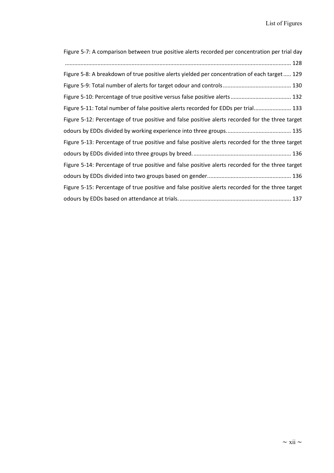| Figure 5-7: A comparison between true positive alerts recorded per concentration per trial day   |
|--------------------------------------------------------------------------------------------------|
|                                                                                                  |
| Figure 5-8: A breakdown of true positive alerts yielded per concentration of each target 129     |
|                                                                                                  |
|                                                                                                  |
| Figure 5-11: Total number of false positive alerts recorded for EDDs per trial 133               |
| Figure 5-12: Percentage of true positive and false positive alerts recorded for the three target |
|                                                                                                  |
| Figure 5-13: Percentage of true positive and false positive alerts recorded for the three target |
|                                                                                                  |
| Figure 5-14: Percentage of true positive and false positive alerts recorded for the three target |
|                                                                                                  |
| Figure 5-15: Percentage of true positive and false positive alerts recorded for the three target |
|                                                                                                  |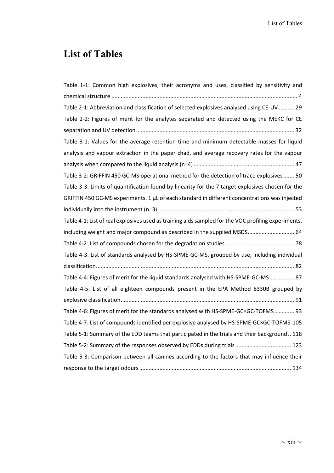## <span id="page-12-0"></span>**List of Tables**

| Table 1-1: Common high explosives, their acronyms and uses, classified by sensitivity and           |
|-----------------------------------------------------------------------------------------------------|
|                                                                                                     |
| Table 2-1: Abbreviation and classification of selected explosives analysed using CE-UV  29          |
| Table 2-2: Figures of merit for the analytes separated and detected using the MEKC for CE           |
|                                                                                                     |
| Table 3-1: Values for the average retention time and minimum detectable masses for liquid           |
| analysis and vapour extraction in the paper chad, and average recovery rates for the vapour         |
|                                                                                                     |
| Table 3-2: GRIFFIN 450 GC-MS operational method for the detection of trace explosives 50            |
| Table 3-3: Limits of quantification found by linearity for the 7 target explosives chosen for the   |
| GRIFFIN 450 GC-MS experiments. 1 µL of each standard in different concentrations was injected       |
|                                                                                                     |
| Table 4-1: List of real explosives used as training aids sampled for the VOC profiling experiments, |
| including weight and major compound as described in the supplied MSDS 64                            |
|                                                                                                     |
| Table 4-3: List of standards analysed by HS-SPME-GC-MS, grouped by use, including individual        |
|                                                                                                     |
| Table 4-4: Figures of merit for the liquid standards analysed with HS-SPME-GC-MS 87                 |
| Table 4-5: List of all eighteen compounds present in the EPA Method 8330B grouped by                |
|                                                                                                     |
| Table 4-6: Figures of merit for the standards analysed with HS-SPME-GC×GC-TOFMS 93                  |
| Table 4-7: List of compounds identified per explosive analysed by HS-SPME-GC×GC-TOFMS 105           |
| Table 5-1: Summary of the EDD teams that participated in the trials and their background 118        |
| Table 5-2: Summary of the responses observed by EDDs during trials 123                              |
| Table 5-3: Comparison between all canines according to the factors that may influence their         |
|                                                                                                     |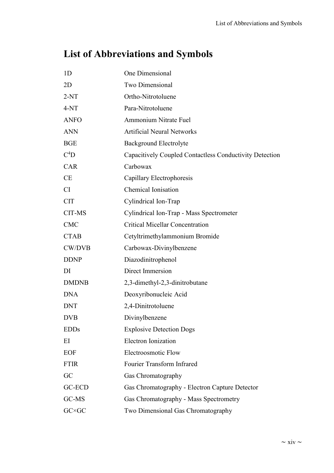## <span id="page-13-0"></span>**List of Abbreviations and Symbols**

| 1 <sub>D</sub>   | One Dimensional                                         |
|------------------|---------------------------------------------------------|
| 2D               | Two Dimensional                                         |
| $2-NT$           | Ortho-Nitrotoluene                                      |
| $4-NT$           | Para-Nitrotoluene                                       |
| <b>ANFO</b>      | <b>Ammonium Nitrate Fuel</b>                            |
| <b>ANN</b>       | <b>Artificial Neural Networks</b>                       |
| <b>BGE</b>       | <b>Background Electrolyte</b>                           |
| $C^4D$           | Capacitively Coupled Contactless Conductivity Detection |
| <b>CAR</b>       | Carbowax                                                |
| CE               | Capillary Electrophoresis                               |
| CI               | Chemical Ionisation                                     |
| <b>CIT</b>       | Cylindrical Ion-Trap                                    |
| CIT-MS           | Cylindrical Ion-Trap - Mass Spectrometer                |
| <b>CMC</b>       | <b>Critical Micellar Concentration</b>                  |
| <b>CTAB</b>      | Cetyltrimethylammonium Bromide                          |
| <b>CW/DVB</b>    | Carbowax-Divinylbenzene                                 |
| <b>DDNP</b>      | Diazodinitrophenol                                      |
| DI               | Direct Immersion                                        |
| <b>DMDNB</b>     | 2,3-dimethyl-2,3-dinitrobutane                          |
| <b>DNA</b>       | Deoxyribonucleic Acid                                   |
| <b>DNT</b>       | 2,4-Dinitrotoluene                                      |
| <b>DVB</b>       | Divinylbenzene                                          |
| <b>EDDs</b>      | <b>Explosive Detection Dogs</b>                         |
| EI               | <b>Electron Ionization</b>                              |
| <b>EOF</b>       | <b>Electroosmotic Flow</b>                              |
| <b>FTIR</b>      | Fourier Transform Infrared                              |
| GC               | Gas Chromatography                                      |
| <b>GC-ECD</b>    | Gas Chromatography - Electron Capture Detector          |
| GC-MS            | Gas Chromatography - Mass Spectrometry                  |
| $G C \times G C$ | Two Dimensional Gas Chromatography                      |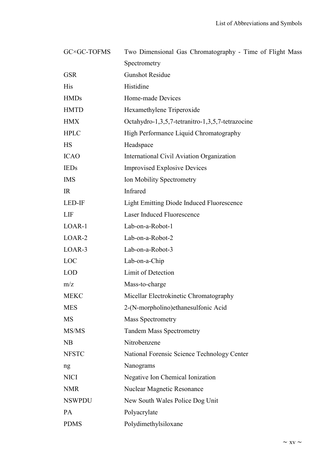| GC×GC-TOFMS   | Two Dimensional Gas Chromatography - Time of Flight Mass |
|---------------|----------------------------------------------------------|
|               | Spectrometry                                             |
| <b>GSR</b>    | <b>Gunshot Residue</b>                                   |
| <b>His</b>    | Histidine                                                |
| <b>HMDs</b>   | Home-made Devices                                        |
| <b>HMTD</b>   | Hexamethylene Triperoxide                                |
| <b>HMX</b>    | Octahydro-1,3,5,7-tetranitro-1,3,5,7-tetrazocine         |
| <b>HPLC</b>   | High Performance Liquid Chromatography                   |
| <b>HS</b>     | Headspace                                                |
| <b>ICAO</b>   | International Civil Aviation Organization                |
| <b>IEDs</b>   | <b>Improvised Explosive Devices</b>                      |
| <b>IMS</b>    | Ion Mobility Spectrometry                                |
| IR            | Infrared                                                 |
| LED-IF        | <b>Light Emitting Diode Induced Fluorescence</b>         |
| LIF           | Laser Induced Fluorescence                               |
| LOAR-1        | Lab-on-a-Robot-1                                         |
| LOAR-2        | Lab-on-a-Robot-2                                         |
| LOAR-3        | Lab-on-a-Robot-3                                         |
| LOC           | Lab-on-a-Chip                                            |
| <b>LOD</b>    | Limit of Detection                                       |
| m/z           | Mass-to-charge                                           |
| <b>MEKC</b>   | Micellar Electrokinetic Chromatography                   |
| <b>MES</b>    | 2-(N-morpholino) ethanes ulfonic Acid                    |
| MS            | <b>Mass Spectrometry</b>                                 |
| MS/MS         | <b>Tandem Mass Spectrometry</b>                          |
| NB            | Nitrobenzene                                             |
| <b>NFSTC</b>  | National Forensic Science Technology Center              |
| ng            | Nanograms                                                |
| <b>NICI</b>   | Negative Ion Chemical Ionization                         |
| <b>NMR</b>    | Nuclear Magnetic Resonance                               |
| <b>NSWPDU</b> | New South Wales Police Dog Unit                          |
| PA            | Polyacrylate                                             |
| <b>PDMS</b>   | Polydimethylsiloxane                                     |
|               |                                                          |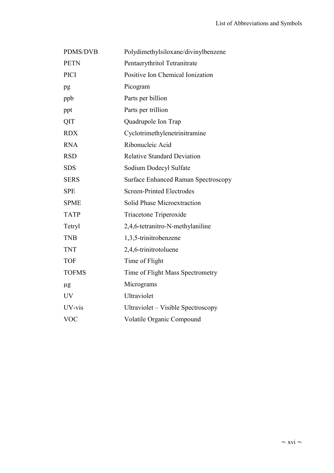| PDMS/DVB     | Polydimethylsiloxane/divinylbenzene        |
|--------------|--------------------------------------------|
| <b>PETN</b>  | Pentaerythritol Tetranitrate               |
| <b>PICI</b>  | Positive Ion Chemical Ionization           |
| pg           | Picogram                                   |
| ppb          | Parts per billion                          |
| ppt          | Parts per trillion                         |
| QIT          | Quadrupole Ion Trap                        |
| <b>RDX</b>   | Cyclotrimethylenetrinitramine              |
| <b>RNA</b>   | Ribonucleic Acid                           |
| <b>RSD</b>   | <b>Relative Standard Deviation</b>         |
| <b>SDS</b>   | Sodium Dodecyl Sulfate                     |
| <b>SERS</b>  | <b>Surface Enhanced Raman Spectroscopy</b> |
| <b>SPE</b>   | <b>Screen-Printed Electrodes</b>           |
| <b>SPME</b>  | <b>Solid Phase Microextraction</b>         |
| <b>TATP</b>  | Triacetone Triperoxide                     |
| Tetryl       | 2,4,6-tetranitro-N-methylaniline           |
| <b>TNB</b>   | 1,3,5-trinitrobenzene                      |
| <b>TNT</b>   | 2,4,6-trinitrotoluene                      |
| <b>TOF</b>   | Time of Flight                             |
| <b>TOFMS</b> | Time of Flight Mass Spectrometry           |
| $\mu g$      | Micrograms                                 |
| <b>UV</b>    | Ultraviolet                                |
| UV-vis       | Ultraviolet – Visible Spectroscopy         |
| <b>VOC</b>   | Volatile Organic Compound                  |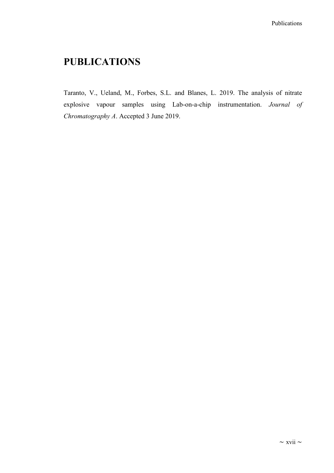## <span id="page-16-0"></span>**PUBLICATIONS**

Taranto, V., Ueland, M., Forbes, S.L. and Blanes, L. 2019. The analysis of nitrate explosive vapour samples using Lab-on-a-chip instrumentation. *Journal of Chromatography A*. Accepted 3 June 2019.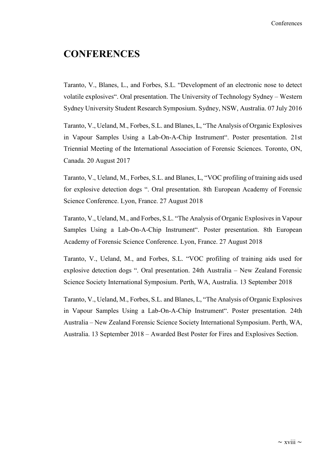#### <span id="page-17-0"></span>**CONFERENCES**

Taranto, V., Blanes, L., and Forbes, S.L. "Development of an electronic nose to detect volatile explosives". Oral presentation. The University of Technology Sydney – Western Sydney University Student Research Symposium. Sydney, NSW, Australia. 07 July 2016

Taranto, V., Ueland, M., Forbes, S.L. and Blanes, L, "The Analysis of Organic Explosives in Vapour Samples Using a Lab-On-A-Chip Instrument". Poster presentation. 21st Triennial Meeting of the International Association of Forensic Sciences. Toronto, ON, Canada. 20 August 2017

Taranto, V., Ueland, M., Forbes, S.L. and Blanes, L, "VOC profiling of training aids used for explosive detection dogs ". Oral presentation. 8th European Academy of Forensic Science Conference. Lyon, France. 27 August 2018

Taranto, V., Ueland, M., and Forbes, S.L. "The Analysis of Organic Explosives in Vapour Samples Using a Lab-On-A-Chip Instrument". Poster presentation. 8th European Academy of Forensic Science Conference. Lyon, France. 27 August 2018

Taranto, V., Ueland, M., and Forbes, S.L. "VOC profiling of training aids used for explosive detection dogs ". Oral presentation. 24th Australia – New Zealand Forensic Science Society International Symposium. Perth, WA, Australia. 13 September 2018

Taranto, V., Ueland, M., Forbes, S.L. and Blanes, L, "The Analysis of Organic Explosives in Vapour Samples Using a Lab-On-A-Chip Instrument". Poster presentation. 24th Australia – New Zealand Forensic Science Society International Symposium. Perth, WA, Australia. 13 September 2018 – Awarded Best Poster for Fires and Explosives Section.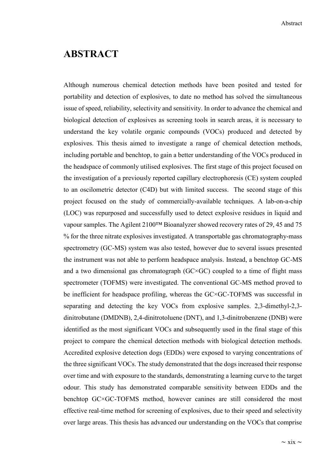#### <span id="page-18-0"></span>**ABSTRACT**

Although numerous chemical detection methods have been posited and tested for portability and detection of explosives, to date no method has solved the simultaneous issue of speed, reliability, selectivity and sensitivity. In order to advance the chemical and biological detection of explosives as screening tools in search areas, it is necessary to understand the key volatile organic compounds (VOCs) produced and detected by explosives. This thesis aimed to investigate a range of chemical detection methods, including portable and benchtop, to gain a better understanding of the VOCs produced in the headspace of commonly utilised explosives. The first stage of this project focused on the investigation of a previously reported capillary electrophoresis (CE) system coupled to an oscilometric detector (C4D) but with limited success. The second stage of this project focused on the study of commercially-available techniques. A lab-on-a-chip (LOC) was repurposed and successfully used to detect explosive residues in liquid and vapour samples. The Agilent 2100™ Bioanalyzer showed recovery rates of 29, 45 and 75 % for the three nitrate explosives investigated. A transportable gas chromatography-mass spectrometry (GC-MS) system was also tested, however due to several issues presented the instrument was not able to perform headspace analysis. Instead, a benchtop GC-MS and a two dimensional gas chromatograph (GC×GC) coupled to a time of flight mass spectrometer (TOFMS) were investigated. The conventional GC-MS method proved to be inefficient for headspace profiling, whereas the GC×GC-TOFMS was successful in separating and detecting the key VOCs from explosive samples. 2,3-dimethyl-2,3 dinitrobutane (DMDNB), 2,4-dinitrotoluene (DNT), and 1,3-dinitrobenzene (DNB) were identified as the most significant VOCs and subsequently used in the final stage of this project to compare the chemical detection methods with biological detection methods. Accredited explosive detection dogs (EDDs) were exposed to varying concentrations of the three significant VOCs. The study demonstrated that the dogs increased their response over time and with exposure to the standards, demonstrating a learning curve to the target odour. This study has demonstrated comparable sensitivity between EDDs and the benchtop GC×GC-TOFMS method, however canines are still considered the most effective real-time method for screening of explosives, due to their speed and selectivity over large areas. This thesis has advanced our understanding on the VOCs that comprise